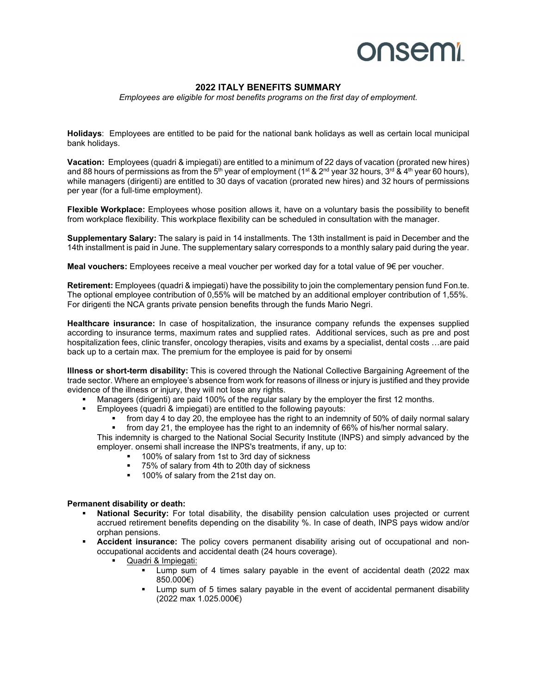# **onsemi**

### **2022 ITALY BENEFITS SUMMARY**

*Employees are eligible for most benefits programs on the first day of employment.*

**Holidays**: Employees are entitled to be paid for the national bank holidays as well as certain local municipal bank holidays.

**Vacation:** Employees (quadri & impiegati) are entitled to a minimum of 22 days of vacation (prorated new hires) and 88 hours of permissions as from the 5<sup>th</sup> year of employment (1<sup>st</sup> & 2<sup>nd</sup> year 32 hours, 3<sup>rd</sup> & 4<sup>th</sup> year 60 hours), while managers (dirigenti) are entitled to 30 days of vacation (prorated new hires) and 32 hours of permissions per year (for a full-time employment).

**Flexible Workplace:** Employees whose position allows it, have on a voluntary basis the possibility to benefit from workplace flexibility. This workplace flexibility can be scheduled in consultation with the manager.

**Supplementary Salary:** The salary is paid in 14 installments. The 13th installment is paid in December and the 14th installment is paid in June. The supplementary salary corresponds to a monthly salary paid during the year.

**Meal vouchers:** Employees receive a meal voucher per worked day for a total value of 9€ per voucher.

**Retirement:** Employees (quadri & impiegati) have the possibility to join the complementary pension fund Fon.te. The optional employee contribution of 0,55% will be matched by an additional employer contribution of 1,55%. For dirigenti the NCA grants private pension benefits through the funds Mario Negri.

**Healthcare insurance:** In case of hospitalization, the insurance company refunds the expenses supplied according to insurance terms, maximum rates and supplied rates. Additional services, such as pre and post hospitalization fees, clinic transfer, oncology therapies, visits and exams by a specialist, dental costs …are paid back up to a certain max. The premium for the employee is paid for by onsemi

**Illness or short-term disability:** This is covered through the National Collective Bargaining Agreement of the trade sector. Where an employee's absence from work for reasons of illness or injury is justified and they provide evidence of the illness or injury, they will not lose any rights.

- Managers (dirigenti) are paid 100% of the regular salary by the employer the first 12 months.
- Employees (quadri & impiegati) are entitled to the following payouts:
	- from day 4 to day 20, the employee has the right to an indemnity of 50% of daily normal salary

 from day 21, the employee has the right to an indemnity of 66% of his/her normal salary. This indemnity is charged to the National Social Security Institute (INPS) and simply advanced by the

- employer. onsemi shall increase the INPS's treatments, if any, up to:
	- 100% of salary from 1st to 3rd day of sickness
	- 75% of salary from 4th to 20th day of sickness
	- **100% of salary from the 21st day on.**

### **Permanent disability or death:**

- **National Security:** For total disability, the disability pension calculation uses projected or current accrued retirement benefits depending on the disability %. In case of death, INPS pays widow and/or orphan pensions.
- **Accident insurance:** The policy covers permanent disability arising out of occupational and nonoccupational accidents and accidental death (24 hours coverage).
	- Quadri & Impiegati:
		- Lump sum of 4 times salary payable in the event of accidental death (2022 max 850.000€)
		- Lump sum of 5 times salary payable in the event of accidental permanent disability (2022 max 1.025.000€)